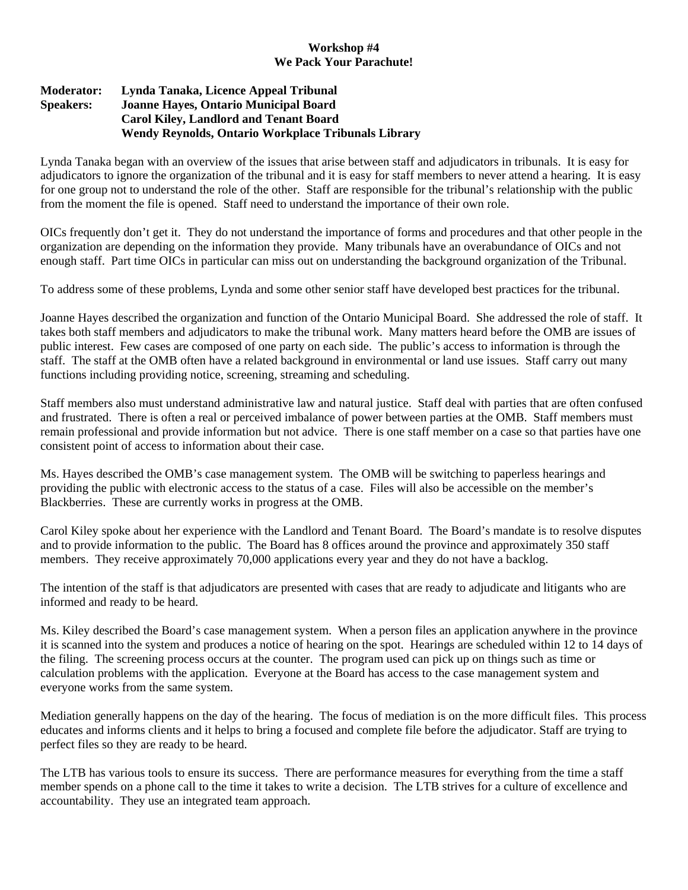## **Workshop #4 We Pack Your Parachute!**

## **Moderator: Lynda Tanaka, Licence Appeal Tribunal Speakers: Joanne Hayes, Ontario Municipal Board Carol Kiley, Landlord and Tenant Board Wendy Reynolds, Ontario Workplace Tribunals Library**

Lynda Tanaka began with an overview of the issues that arise between staff and adjudicators in tribunals. It is easy for adjudicators to ignore the organization of the tribunal and it is easy for staff members to never attend a hearing. It is easy for one group not to understand the role of the other. Staff are responsible for the tribunal's relationship with the public from the moment the file is opened. Staff need to understand the importance of their own role.

OICs frequently don't get it. They do not understand the importance of forms and procedures and that other people in the organization are depending on the information they provide. Many tribunals have an overabundance of OICs and not enough staff. Part time OICs in particular can miss out on understanding the background organization of the Tribunal.

To address some of these problems, Lynda and some other senior staff have developed best practices for the tribunal.

Joanne Hayes described the organization and function of the Ontario Municipal Board. She addressed the role of staff. It takes both staff members and adjudicators to make the tribunal work. Many matters heard before the OMB are issues of public interest. Few cases are composed of one party on each side. The public's access to information is through the staff. The staff at the OMB often have a related background in environmental or land use issues. Staff carry out many functions including providing notice, screening, streaming and scheduling.

Staff members also must understand administrative law and natural justice. Staff deal with parties that are often confused and frustrated. There is often a real or perceived imbalance of power between parties at the OMB. Staff members must remain professional and provide information but not advice. There is one staff member on a case so that parties have one consistent point of access to information about their case.

Ms. Hayes described the OMB's case management system. The OMB will be switching to paperless hearings and providing the public with electronic access to the status of a case. Files will also be accessible on the member's Blackberries. These are currently works in progress at the OMB.

Carol Kiley spoke about her experience with the Landlord and Tenant Board. The Board's mandate is to resolve disputes and to provide information to the public. The Board has 8 offices around the province and approximately 350 staff members. They receive approximately 70,000 applications every year and they do not have a backlog.

The intention of the staff is that adjudicators are presented with cases that are ready to adjudicate and litigants who are informed and ready to be heard.

Ms. Kiley described the Board's case management system. When a person files an application anywhere in the province it is scanned into the system and produces a notice of hearing on the spot. Hearings are scheduled within 12 to 14 days of the filing. The screening process occurs at the counter. The program used can pick up on things such as time or calculation problems with the application. Everyone at the Board has access to the case management system and everyone works from the same system.

Mediation generally happens on the day of the hearing. The focus of mediation is on the more difficult files. This process educates and informs clients and it helps to bring a focused and complete file before the adjudicator. Staff are trying to perfect files so they are ready to be heard.

The LTB has various tools to ensure its success. There are performance measures for everything from the time a staff member spends on a phone call to the time it takes to write a decision. The LTB strives for a culture of excellence and accountability. They use an integrated team approach.